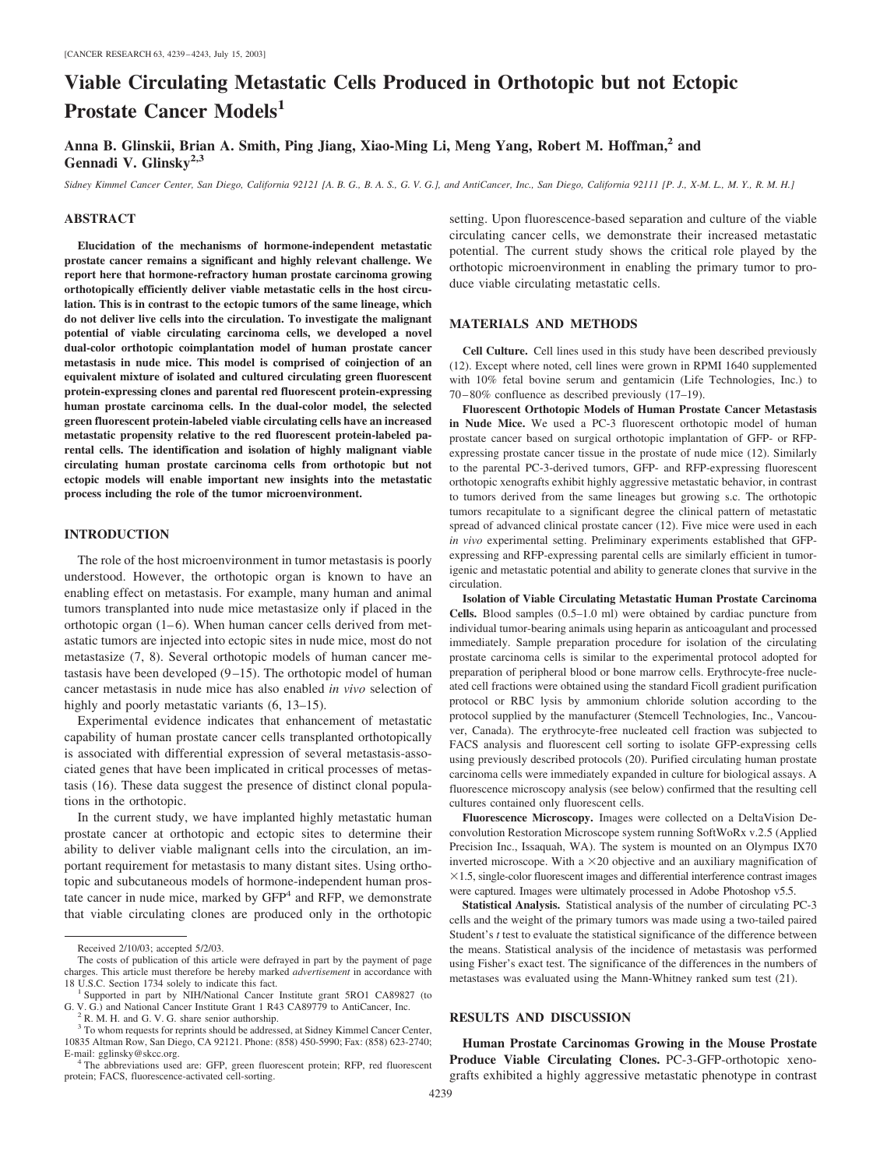# **Viable Circulating Metastatic Cells Produced in Orthotopic but not Ectopic Prostate Cancer Models<sup>1</sup>**

**Anna B. Glinskii, Brian A. Smith, Ping Jiang, Xiao-Ming Li, Meng Yang, Robert M. Hoffman,2 and Gennadi V. Glinsky2,3**

*Sidney Kimmel Cancer Center, San Diego, California 92121 [A. B. G., B. A. S., G. V. G.], and AntiCancer, Inc., San Diego, California 92111 [P. J., X-M. L., M. Y., R. M. H.]*

## **ABSTRACT**

**Elucidation of the mechanisms of hormone-independent metastatic prostate cancer remains a significant and highly relevant challenge. We report here that hormone-refractory human prostate carcinoma growing orthotopically efficiently deliver viable metastatic cells in the host circulation. This is in contrast to the ectopic tumors of the same lineage, which do not deliver live cells into the circulation. To investigate the malignant potential of viable circulating carcinoma cells, we developed a novel dual-color orthotopic coimplantation model of human prostate cancer metastasis in nude mice. This model is comprised of coinjection of an equivalent mixture of isolated and cultured circulating green fluorescent protein-expressing clones and parental red fluorescent protein-expressing human prostate carcinoma cells. In the dual-color model, the selected green fluorescent protein-labeled viable circulating cells have an increased metastatic propensity relative to the red fluorescent protein-labeled parental cells. The identification and isolation of highly malignant viable circulating human prostate carcinoma cells from orthotopic but not ectopic models will enable important new insights into the metastatic process including the role of the tumor microenvironment.**

## **INTRODUCTION**

The role of the host microenvironment in tumor metastasis is poorly understood. However, the orthotopic organ is known to have an enabling effect on metastasis. For example, many human and animal tumors transplanted into nude mice metastasize only if placed in the orthotopic organ  $(1-6)$ . When human cancer cells derived from metastatic tumors are injected into ectopic sites in nude mice, most do not metastasize (7, 8). Several orthotopic models of human cancer metastasis have been developed  $(9-15)$ . The orthotopic model of human cancer metastasis in nude mice has also enabled *in vivo* selection of highly and poorly metastatic variants  $(6, 13-15)$ .

Experimental evidence indicates that enhancement of metastatic capability of human prostate cancer cells transplanted orthotopically is associated with differential expression of several metastasis-associated genes that have been implicated in critical processes of metastasis (16). These data suggest the presence of distinct clonal populations in the orthotopic.

In the current study, we have implanted highly metastatic human prostate cancer at orthotopic and ectopic sites to determine their ability to deliver viable malignant cells into the circulation, an important requirement for metastasis to many distant sites. Using orthotopic and subcutaneous models of hormone-independent human prostate cancer in nude mice, marked by  $GFP<sup>4</sup>$  and RFP, we demonstrate that viable circulating clones are produced only in the orthotopic setting. Upon fluorescence-based separation and culture of the viable circulating cancer cells, we demonstrate their increased metastatic potential. The current study shows the critical role played by the orthotopic microenvironment in enabling the primary tumor to produce viable circulating metastatic cells.

#### **MATERIALS AND METHODS**

**Cell Culture.** Cell lines used in this study have been described previously (12). Except where noted, cell lines were grown in RPMI 1640 supplemented with 10% fetal bovine serum and gentamicin (Life Technologies, Inc.) to 70 – 80% confluence as described previously (17–19).

**Fluorescent Orthotopic Models of Human Prostate Cancer Metastasis in Nude Mice.** We used a PC-3 fluorescent orthotopic model of human prostate cancer based on surgical orthotopic implantation of GFP- or RFPexpressing prostate cancer tissue in the prostate of nude mice (12). Similarly to the parental PC-3-derived tumors, GFP- and RFP-expressing fluorescent orthotopic xenografts exhibit highly aggressive metastatic behavior, in contrast to tumors derived from the same lineages but growing s.c. The orthotopic tumors recapitulate to a significant degree the clinical pattern of metastatic spread of advanced clinical prostate cancer (12). Five mice were used in each *in vivo* experimental setting. Preliminary experiments established that GFPexpressing and RFP-expressing parental cells are similarly efficient in tumorigenic and metastatic potential and ability to generate clones that survive in the circulation.

**Isolation of Viable Circulating Metastatic Human Prostate Carcinoma Cells.** Blood samples (0.5–1.0 ml) were obtained by cardiac puncture from individual tumor-bearing animals using heparin as anticoagulant and processed immediately. Sample preparation procedure for isolation of the circulating prostate carcinoma cells is similar to the experimental protocol adopted for preparation of peripheral blood or bone marrow cells. Erythrocyte-free nucleated cell fractions were obtained using the standard Ficoll gradient purification protocol or RBC lysis by ammonium chloride solution according to the protocol supplied by the manufacturer (Stemcell Technologies, Inc., Vancouver, Canada). The erythrocyte-free nucleated cell fraction was subjected to FACS analysis and fluorescent cell sorting to isolate GFP-expressing cells using previously described protocols (20). Purified circulating human prostate carcinoma cells were immediately expanded in culture for biological assays. A fluorescence microscopy analysis (see below) confirmed that the resulting cell cultures contained only fluorescent cells.

**Fluorescence Microscopy.** Images were collected on a DeltaVision Deconvolution Restoration Microscope system running SoftWoRx v.2.5 (Applied Precision Inc., Issaquah, WA). The system is mounted on an Olympus IX70 inverted microscope. With a  $\times$ 20 objective and an auxiliary magnification of  $\times$ 1.5, single-color fluorescent images and differential interference contrast images were captured. Images were ultimately processed in Adobe Photoshop v5.5.

**Statistical Analysis.** Statistical analysis of the number of circulating PC-3 cells and the weight of the primary tumors was made using a two-tailed paired Student's *t* test to evaluate the statistical significance of the difference between the means. Statistical analysis of the incidence of metastasis was performed using Fisher's exact test. The significance of the differences in the numbers of metastases was evaluated using the Mann-Whitney ranked sum test (21).

## **RESULTS AND DISCUSSION**

**Human Prostate Carcinomas Growing in the Mouse Prostate Produce Viable Circulating Clones.** PC-3-GFP-orthotopic xenografts exhibited a highly aggressive metastatic phenotype in contrast

Received 2/10/03; accepted 5/2/03.

The costs of publication of this article were defrayed in part by the payment of page charges. This article must therefore be hereby marked *advertisement* in accordance with

Supported in part by NIH/National Cancer Institute grant 5RO1 CA89827 (to G. V. G.) and National Cancer Institute Grant 1 R43 CA89779 to AntiCancer, Inc. <sup>2</sup> R. M. H. and G. V. G. share senior authorship.

<sup>&</sup>lt;sup>3</sup> To whom requests for reprints should be addressed, at Sidney Kimmel Cancer Center, 10835 Altman Row, San Diego, CA 92121. Phone: (858) 450-5990; Fax: (858) 623-2740;

<sup>&</sup>lt;sup>4</sup> The abbreviations used are: GFP, green fluorescent protein; RFP, red fluorescent protein; FACS, fluorescence-activated cell-sorting.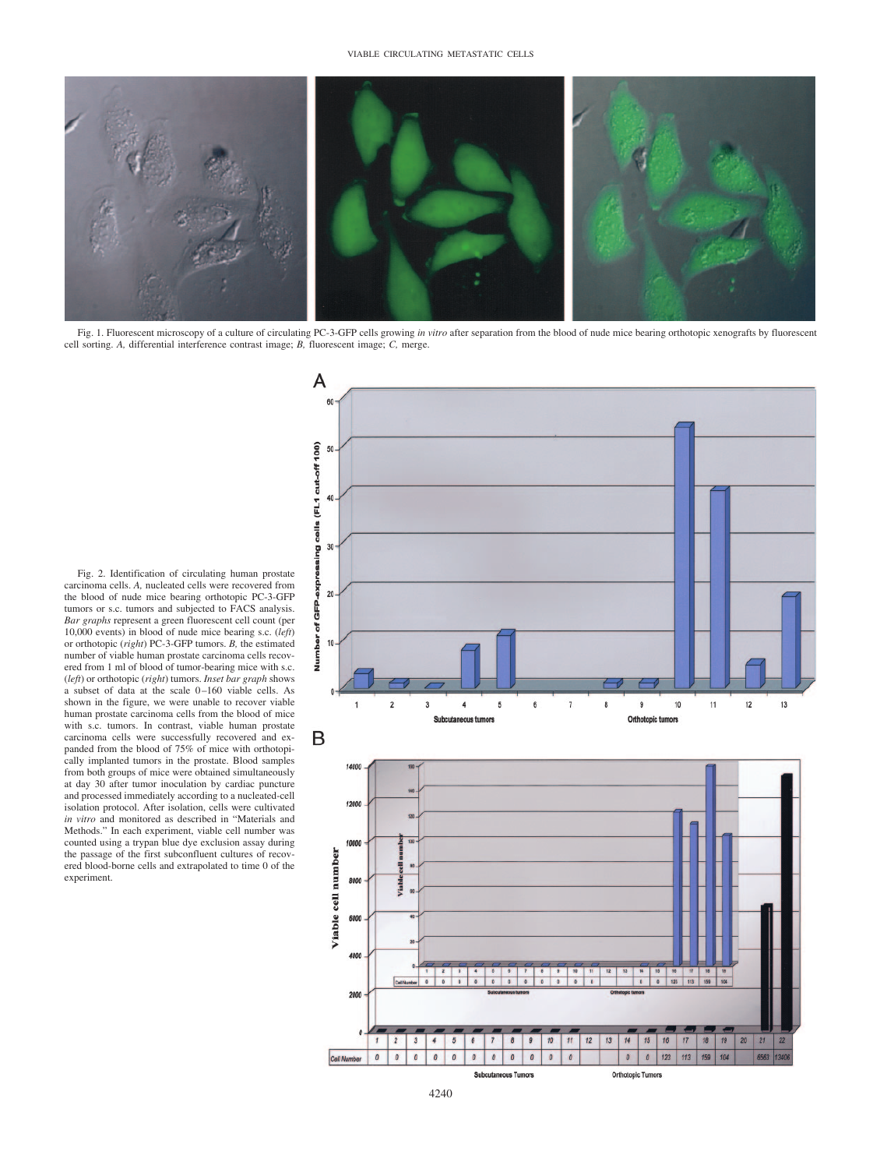

Fig. 1. Fluorescent microscopy of a culture of circulating PC-3-GFP cells growing *in vitro* after separation from the blood of nude mice bearing orthotopic xenografts by fluorescent cell sorting. *A,* differential interference contrast image; *B,* fluorescent image; *C,* merge.

Fig. 2. Identification of circulating human prostate carcinoma cells. *A,* nucleated cells were recovered from the blood of nude mice bearing orthotopic PC-3-GFP tumors or s.c. tumors and subjected to FACS analysis. *Bar graphs* represent a green fluorescent cell count (per 10,000 events) in blood of nude mice bearing s.c. (*left*) or orthotopic (*right*) PC-3-GFP tumors. *B,* the estimated number of viable human prostate carcinoma cells recovered from 1 ml of blood of tumor-bearing mice with s.c. (*left*) or orthotopic (*right*) tumors. *Inset bar graph* shows a subset of data at the scale 0-160 viable cells. As shown in the figure, we were unable to recover viable human prostate carcinoma cells from the blood of mice with s.c. tumors. In contrast, viable human prostate carcinoma cells were successfully recovered and expanded from the blood of 75% of mice with orthotopically implanted tumors in the prostate. Blood samples from both groups of mice were obtained simultaneously at day 30 after tumor inoculation by cardiac puncture and processed immediately according to a nucleated-cell isolation protocol. After isolation, cells were cultivated *in vitro* and monitored as described in "Materials and Methods." In each experiment, viable cell number was counted using a trypan blue dye exclusion assay during the passage of the first subconfluent cultures of recovered blood-borne cells and extrapolated to time 0 of the experiment.

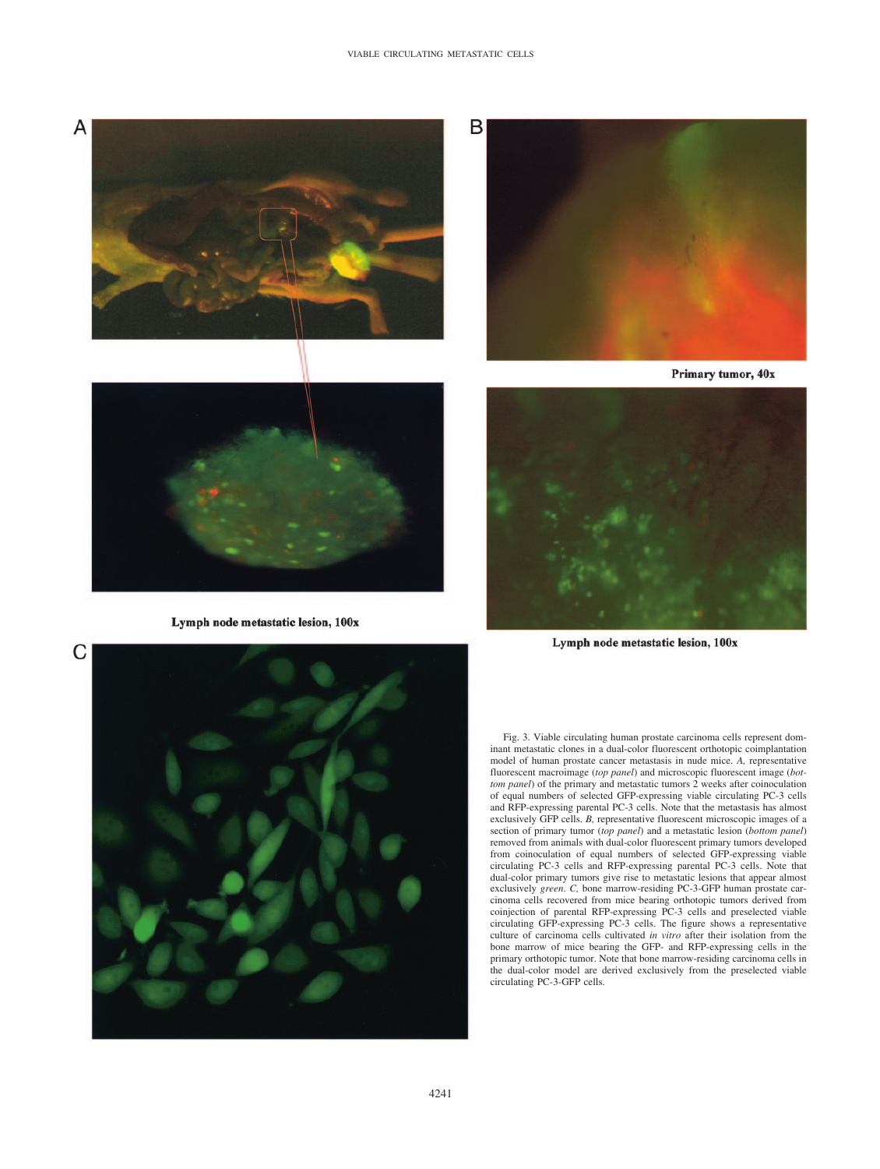#### VIABLE CIRCULATING METASTATIC CELLS

A





Lymph node metastatic lesion, 100x



Primary tumor, 40x



Lymph node metastatic lesion, 100x



Fig. 3. Viable circulating human prostate carcinoma cells represent dominant metastatic clones in a dual-color fluorescent orthotopic coimplantation model of human prostate cancer metastasis in nude mice. *A,* representative fluorescent macroimage (*top panel*) and microscopic fluorescent image (*bottom panel*) of the primary and metastatic tumors 2 weeks after coinoculation of equal numbers of selected GFP-expressing viable circulating PC-3 cells and RFP-expressing parental PC-3 cells. Note that the metastasis has almost exclusively GFP cells. *B,* representative fluorescent microscopic images of a section of primary tumor (*top panel*) and a metastatic lesion (*bottom panel*) removed from animals with dual-color fluorescent primary tumors developed from coinoculation of equal numbers of selected GFP-expressing viable circulating PC-3 cells and RFP-expressing parental PC-3 cells. Note that dual-color primary tumors give rise to metastatic lesions that appear almost exclusively *green*. *C,* bone marrow-residing PC-3-GFP human prostate carcinoma cells recovered from mice bearing orthotopic tumors derived from coinjection of parental RFP-expressing PC-3 cells and preselected viable circulating GFP-expressing PC-3 cells. The figure shows a representative culture of carcinoma cells cultivated *in vitro* after their isolation from the bone marrow of mice bearing the GFP- and RFP-expressing cells in the primary orthotopic tumor. Note that bone marrow-residing carcinoma cells in the dual-color model are derived exclusively from the preselected viable circulating PC-3-GFP cells.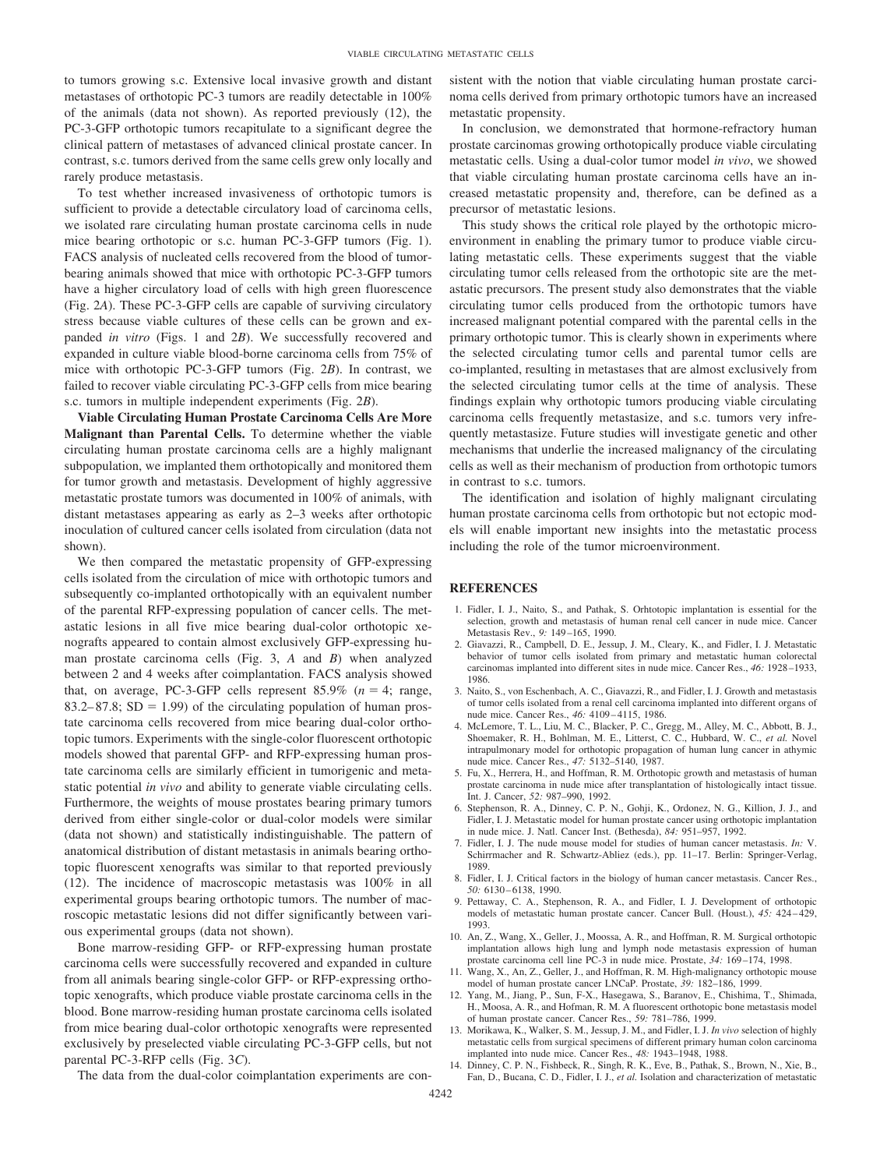to tumors growing s.c. Extensive local invasive growth and distant metastases of orthotopic PC-3 tumors are readily detectable in 100% of the animals (data not shown). As reported previously (12), the PC-3-GFP orthotopic tumors recapitulate to a significant degree the clinical pattern of metastases of advanced clinical prostate cancer. In contrast, s.c. tumors derived from the same cells grew only locally and rarely produce metastasis.

To test whether increased invasiveness of orthotopic tumors is sufficient to provide a detectable circulatory load of carcinoma cells, we isolated rare circulating human prostate carcinoma cells in nude mice bearing orthotopic or s.c. human PC-3-GFP tumors (Fig. 1). FACS analysis of nucleated cells recovered from the blood of tumorbearing animals showed that mice with orthotopic PC-3-GFP tumors have a higher circulatory load of cells with high green fluorescence (Fig. 2*A*). These PC-3-GFP cells are capable of surviving circulatory stress because viable cultures of these cells can be grown and expanded *in vitro* (Figs. 1 and 2*B*). We successfully recovered and expanded in culture viable blood-borne carcinoma cells from 75% of mice with orthotopic PC-3-GFP tumors (Fig. 2*B*). In contrast, we failed to recover viable circulating PC-3-GFP cells from mice bearing s.c. tumors in multiple independent experiments (Fig. 2*B*).

**Viable Circulating Human Prostate Carcinoma Cells Are More Malignant than Parental Cells.** To determine whether the viable circulating human prostate carcinoma cells are a highly malignant subpopulation, we implanted them orthotopically and monitored them for tumor growth and metastasis. Development of highly aggressive metastatic prostate tumors was documented in 100% of animals, with distant metastases appearing as early as 2–3 weeks after orthotopic inoculation of cultured cancer cells isolated from circulation (data not shown).

We then compared the metastatic propensity of GFP-expressing cells isolated from the circulation of mice with orthotopic tumors and subsequently co-implanted orthotopically with an equivalent number of the parental RFP-expressing population of cancer cells. The metastatic lesions in all five mice bearing dual-color orthotopic xenografts appeared to contain almost exclusively GFP-expressing human prostate carcinoma cells (Fig. 3, *A* and *B*) when analyzed between 2 and 4 weeks after coimplantation. FACS analysis showed that, on average, PC-3-GFP cells represent  $85.9\%$  ( $n = 4$ ; range,  $83.2 - 87.8$ ; SD = 1.99) of the circulating population of human prostate carcinoma cells recovered from mice bearing dual-color orthotopic tumors. Experiments with the single-color fluorescent orthotopic models showed that parental GFP- and RFP-expressing human prostate carcinoma cells are similarly efficient in tumorigenic and metastatic potential *in vivo* and ability to generate viable circulating cells. Furthermore, the weights of mouse prostates bearing primary tumors derived from either single-color or dual-color models were similar (data not shown) and statistically indistinguishable. The pattern of anatomical distribution of distant metastasis in animals bearing orthotopic fluorescent xenografts was similar to that reported previously (12). The incidence of macroscopic metastasis was 100% in all experimental groups bearing orthotopic tumors. The number of macroscopic metastatic lesions did not differ significantly between various experimental groups (data not shown).

Bone marrow-residing GFP- or RFP-expressing human prostate carcinoma cells were successfully recovered and expanded in culture from all animals bearing single-color GFP- or RFP-expressing orthotopic xenografts, which produce viable prostate carcinoma cells in the blood. Bone marrow-residing human prostate carcinoma cells isolated from mice bearing dual-color orthotopic xenografts were represented exclusively by preselected viable circulating PC-3-GFP cells, but not parental PC-3-RFP cells (Fig. 3*C*).

sistent with the notion that viable circulating human prostate carcinoma cells derived from primary orthotopic tumors have an increased metastatic propensity.

In conclusion, we demonstrated that hormone-refractory human prostate carcinomas growing orthotopically produce viable circulating metastatic cells. Using a dual-color tumor model *in vivo*, we showed that viable circulating human prostate carcinoma cells have an increased metastatic propensity and, therefore, can be defined as a precursor of metastatic lesions.

This study shows the critical role played by the orthotopic microenvironment in enabling the primary tumor to produce viable circulating metastatic cells. These experiments suggest that the viable circulating tumor cells released from the orthotopic site are the metastatic precursors. The present study also demonstrates that the viable circulating tumor cells produced from the orthotopic tumors have increased malignant potential compared with the parental cells in the primary orthotopic tumor. This is clearly shown in experiments where the selected circulating tumor cells and parental tumor cells are co-implanted, resulting in metastases that are almost exclusively from the selected circulating tumor cells at the time of analysis. These findings explain why orthotopic tumors producing viable circulating carcinoma cells frequently metastasize, and s.c. tumors very infrequently metastasize. Future studies will investigate genetic and other mechanisms that underlie the increased malignancy of the circulating cells as well as their mechanism of production from orthotopic tumors in contrast to s.c. tumors.

The identification and isolation of highly malignant circulating human prostate carcinoma cells from orthotopic but not ectopic models will enable important new insights into the metastatic process including the role of the tumor microenvironment.

#### **REFERENCES**

- 1. Fidler, I. J., Naito, S., and Pathak, S. Orhtotopic implantation is essential for the selection, growth and metastasis of human renal cell cancer in nude mice. Cancer Metastasis Rev., *9:* 149 –165, 1990.
- 2. Giavazzi, R., Campbell, D. E., Jessup, J. M., Cleary, K., and Fidler, I. J. Metastatic behavior of tumor cells isolated from primary and metastatic human colorectal carcinomas implanted into different sites in nude mice. Cancer Res., *46:* 1928 –1933, 1986.
- 3. Naito, S., von Eschenbach, A. C., Giavazzi, R., and Fidler, I. J. Growth and metastasis of tumor cells isolated from a renal cell carcinoma implanted into different organs of nude mice. Cancer Res., *46:* 4109 – 4115, 1986.
- 4. McLemore, T. L., Liu, M. C., Blacker, P. C., Gregg, M., Alley, M. C., Abbott, B. J., Shoemaker, R. H., Bohlman, M. E., Litterst, C. C., Hubbard, W. C., *et al.* Novel intrapulmonary model for orthotopic propagation of human lung cancer in athymic nude mice. Cancer Res., *47:* 5132–5140, 1987.
- 5. Fu, X., Herrera, H., and Hoffman, R. M. Orthotopic growth and metastasis of human prostate carcinoma in nude mice after transplantation of histologically intact tissue. Int. J. Cancer, *52:* 987–990, 1992.
- 6. Stephenson, R. A., Dinney, C. P. N., Gohji, K., Ordonez, N. G., Killion, J. J., and Fidler, I. J. Metastatic model for human prostate cancer using orthotopic implantation in nude mice. J. Natl. Cancer Inst. (Bethesda), *84:* 951–957, 1992.
- 7. Fidler, I. J. The nude mouse model for studies of human cancer metastasis. *In:* V. Schirrmacher and R. Schwartz-Abliez (eds.), pp. 11–17. Berlin: Springer-Verlag, 1989.
- 8. Fidler, I. J. Critical factors in the biology of human cancer metastasis. Cancer Res., *50:* 6130 – 6138, 1990.
- 9. Pettaway, C. A., Stephenson, R. A., and Fidler, I. J. Development of orthotopic models of metastatic human prostate cancer. Cancer Bull. (Houst.), *45:* 424 – 429, 1993.
- 10. An, Z., Wang, X., Geller, J., Moossa, A. R., and Hoffman, R. M. Surgical orthotopic implantation allows high lung and lymph node metastasis expression of human prostate carcinoma cell line PC-3 in nude mice. Prostate, *34:* 169 –174, 1998.
- 11. Wang, X., An, Z., Geller, J., and Hoffman, R. M. High-malignancy orthotopic mouse model of human prostate cancer LNCaP. Prostate, *39:* 182–186, 1999.
- 12. Yang, M., Jiang, P., Sun, F-X., Hasegawa, S., Baranov, E., Chishima, T., Shimada, H., Moosa, A. R., and Hofman, R. M. A fluorescent orthotopic bone metastasis model of human prostate cancer. Cancer Res., *59:* 781–786, 1999.
- 13. Morikawa, K., Walker, S. M., Jessup, J. M., and Fidler, I. J. *In vivo* selection of highly metastatic cells from surgical specimens of different primary human colon carcinoma implanted into nude mice. Cancer Res., *48:* 1943–1948, 1988.
- 14. Dinney, C. P. N., Fishbeck, R., Singh, R. K., Eve, B., Pathak, S., Brown, N., Xie, B., Fan, D., Bucana, C. D., Fidler, I. J., *et al.* Isolation and characterization of metastatic

The data from the dual-color coimplantation experiments are con-